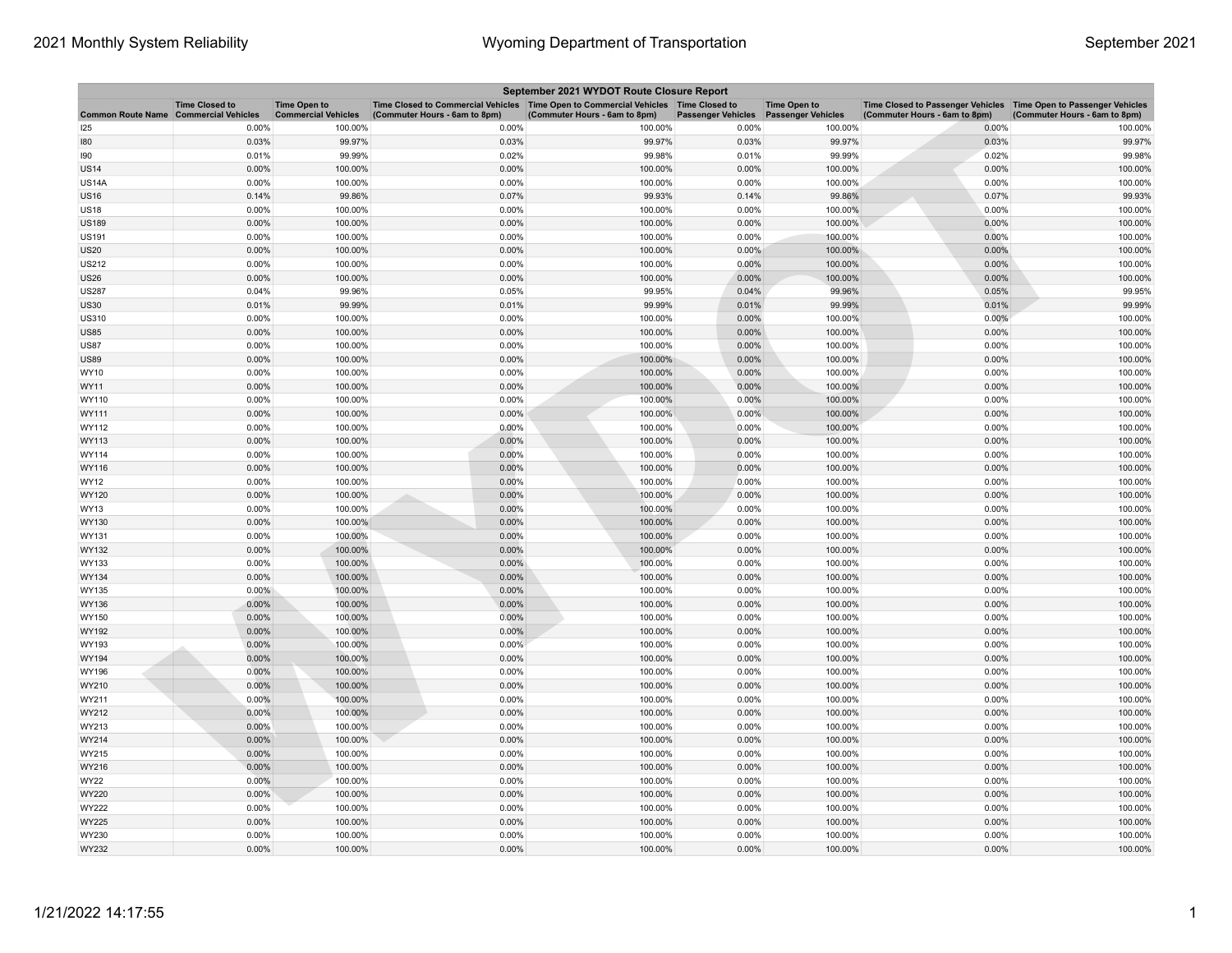| September 2021 WYDOT Route Closure Report    |                       |                                                   |                                                                                                                       |                               |                           |                                                  |                                                                                                    |                               |  |
|----------------------------------------------|-----------------------|---------------------------------------------------|-----------------------------------------------------------------------------------------------------------------------|-------------------------------|---------------------------|--------------------------------------------------|----------------------------------------------------------------------------------------------------|-------------------------------|--|
| <b>Common Route Name Commercial Vehicles</b> | <b>Time Closed to</b> | <b>Time Open to</b><br><b>Commercial Vehicles</b> | Time Closed to Commercial Vehicles  Time Open to Commercial Vehicles  Time Closed to<br>(Commuter Hours - 6am to 8pm) | (Commuter Hours - 6am to 8pm) | <b>Passenger Vehicles</b> | <b>Time Open to</b><br><b>Passenger Vehicles</b> | Time Closed to Passenger Vehicles Time Open to Passenger Vehicles<br>(Commuter Hours - 6am to 8pm) | (Commuter Hours - 6am to 8pm) |  |
| 125                                          | 0.00%                 | 100.00%                                           | 0.00%                                                                                                                 | 100.00%                       | 0.00%                     | 100.00%                                          | 0.00%                                                                                              | 100.00%                       |  |
| 180                                          | 0.03%                 | 99.97%                                            | 0.03%                                                                                                                 | 99.97%                        | 0.03%                     | 99.97%                                           | 0.03%                                                                                              | 99.97%                        |  |
| 190                                          | 0.01%                 | 99.99%                                            | 0.02%                                                                                                                 | 99.98%                        | 0.01%                     | 99.99%                                           | 0.02%                                                                                              | 99.98%                        |  |
| <b>US14</b>                                  | 0.00%                 | 100.00%                                           | 0.00%                                                                                                                 | 100.00%                       | 0.00%                     | 100.00%                                          | 0.00%                                                                                              | 100.00%                       |  |
| <b>US14A</b>                                 | 0.00%                 | 100.00%                                           | 0.00%                                                                                                                 | 100.00%                       | 0.00%                     | 100.00%                                          | 0.00%                                                                                              | 100.00%                       |  |
| <b>US16</b>                                  | 0.14%                 | 99.86%                                            | 0.07%                                                                                                                 | 99.93%                        | 0.14%                     | 99.86%                                           | 0.07%                                                                                              | 99.93%                        |  |
| <b>US18</b>                                  | 0.00%                 | 100.00%                                           | 0.00%                                                                                                                 | 100.00%                       | 0.00%                     | 100.00%                                          | 0.00%                                                                                              | 100.00%                       |  |
| <b>US189</b>                                 | 0.00%                 | 100.00%                                           | 0.00%                                                                                                                 | 100.00%                       | 0.00%                     | 100.00%                                          | 0.00%                                                                                              | 100.00%                       |  |
| <b>US191</b>                                 | 0.00%                 | 100.00%                                           | 0.00%                                                                                                                 | 100.00%                       | 0.00%                     | 100.00%                                          | 0.00%                                                                                              | 100.00%                       |  |
| US20                                         | 0.00%                 | 100.00%                                           | 0.00%                                                                                                                 | 100.00%                       | 0.00%                     | 100.00%                                          | 0.00%                                                                                              | 100.00%                       |  |
| US212                                        | 0.00%                 | 100.00%                                           | 0.00%                                                                                                                 | 100.00%                       | 0.00%                     | 100.00%                                          | 0.00%                                                                                              | 100.00%                       |  |
| <b>US26</b>                                  | 0.00%                 | 100.00%                                           | 0.00%                                                                                                                 | 100.00%                       | 0.00%                     | 100.00%                                          | $0.00\%$                                                                                           | 100.00%                       |  |
| US287                                        | 0.04%                 | 99.96%                                            | 0.05%                                                                                                                 | 99.95%                        | 0.04%                     | 99.96%                                           | 0.05%                                                                                              | 99.95%                        |  |
| US30                                         | 0.01%                 | 99.99%                                            | 0.01%                                                                                                                 | 99.99%                        | 0.01%                     | 99.99%                                           | 0.01%                                                                                              | 99.99%                        |  |
| <b>US310</b>                                 | 0.00%                 | 100.00%                                           | 0.00%                                                                                                                 | 100.00%                       | 0.00%                     | 100.00%                                          | 0.00%                                                                                              | 100.00%                       |  |
| <b>US85</b>                                  | 0.00%                 | 100.00%                                           | 0.00%                                                                                                                 | 100.00%                       | 0.00%                     | 100.00%                                          | 0.00%                                                                                              | 100.00%                       |  |
| <b>US87</b>                                  | 0.00%                 | 100.00%                                           | 0.00%                                                                                                                 | 100.00%                       | 0.00%                     | 100.00%                                          | 0.00%                                                                                              | 100.00%                       |  |
| US89                                         | 0.00%                 | 100.00%                                           | 0.00%                                                                                                                 | 100.00%                       | 0.00%                     | 100.00%                                          | 0.00%                                                                                              | 100.00%                       |  |
| WY10                                         | 0.00%                 | 100.00%                                           | 0.00%                                                                                                                 | 100.00%                       | 0.00%                     | 100.00%                                          | 0.00%                                                                                              | 100.00%                       |  |
| WY11                                         | 0.00%                 | 100.00%                                           | 0.00%                                                                                                                 | 100.00%                       | 0.00%                     | 100.00%                                          | 0.00%                                                                                              | 100.00%                       |  |
| WY110                                        | 0.00%                 | 100.00%                                           | 0.00%                                                                                                                 | 100.00%                       | 0.00%                     | 100.00%                                          | 0.00%                                                                                              | 100.00%                       |  |
| WY111                                        | 0.00%                 | 100.00%                                           | 0.00%                                                                                                                 | 100.00%                       | 0.00%                     | 100.00%                                          | 0.00%                                                                                              | 100.00%                       |  |
| WY112                                        | 0.00%                 | 100.00%                                           | 0.00%                                                                                                                 | 100.00%                       | 0.00%                     | 100.00%                                          | 0.00%                                                                                              | 100.00%                       |  |
| WY113                                        | 0.00%                 | 100.00%                                           | 0.00%                                                                                                                 | 100.00%                       | 0.00%                     | 100.00%                                          | 0.00%                                                                                              | 100.00%                       |  |
| WY114                                        | 0.00%                 | 100.00%                                           | 0.00%                                                                                                                 | 100.00%                       | 0.00%                     | 100.00%                                          | 0.00%                                                                                              | 100.00%                       |  |
| WY116                                        | 0.00%                 | 100.00%                                           | 0.00%                                                                                                                 | 100.00%                       | 0.00%                     | 100.00%                                          | $0.00\%$                                                                                           | 100.00%                       |  |
| WY12                                         | 0.00%                 | 100.00%                                           | 0.00%                                                                                                                 | 100.00%                       | 0.00%                     | 100.00%                                          | 0.00%                                                                                              | 100.00%                       |  |
| WY120                                        | 0.00%                 | 100.00%                                           | 0.00%                                                                                                                 | 100.00%                       | 0.00%                     | 100.00%                                          | 0.00%                                                                                              | 100.00%                       |  |
| WY13                                         | 0.00%                 | 100.00%                                           | 0.00%                                                                                                                 | 100.00%                       | 0.00%                     | 100.00%                                          | 0.00%                                                                                              | 100.00%                       |  |
| WY130                                        | 0.00%                 | 100.00%                                           | 0.00%                                                                                                                 | 100.00%                       | 0.00%                     | 100.00%                                          | 0.00%                                                                                              | 100.00%                       |  |
| WY131                                        | 0.00%                 | 100.00%                                           | 0.00%                                                                                                                 | 100.00%                       | 0.00%                     | 100.00%                                          | 0.00%                                                                                              | 100.00%                       |  |
| WY132                                        | 0.00%                 | 100.00%                                           | 0.00%                                                                                                                 | 100.00%                       | 0.00%                     | 100.00%                                          | 0.00%                                                                                              | 100.00%                       |  |
| WY133                                        | 0.00%                 | 100.00%                                           | 0.00%                                                                                                                 | 100.00%                       | 0.00%                     | 100.00%                                          | 0.00%                                                                                              | 100.00%                       |  |
| WY134                                        | 0.00%                 | 100.00%                                           | 0.00%                                                                                                                 | 100.00%                       | 0.00%                     | 100.00%                                          | 0.00%                                                                                              | 100.00%                       |  |
| WY135                                        | $0.00\%$              | 100.00%                                           | 0.00%                                                                                                                 | 100.00%                       | 0.00%                     | 100.00%                                          | 0.00%                                                                                              | 100.00%                       |  |
| WY136                                        | 0.00%                 | 100.00%                                           | 0.00%                                                                                                                 | 100.00%                       | 0.00%                     | 100.00%                                          | 0.00%                                                                                              | 100.00%                       |  |
| WY150                                        | 0.00%                 | 100.00%                                           | 0.00%                                                                                                                 | 100.00%                       | 0.00%                     | 100.00%                                          | 0.00%                                                                                              | 100.00%                       |  |
| WY192                                        | 0.00%                 | 100.00%                                           | 0.00%                                                                                                                 | 100.00%                       | 0.00%                     | 100.00%                                          | 0.00%                                                                                              | 100.00%                       |  |
| WY193                                        | 0.00%                 | 100.00%                                           | 0.00%                                                                                                                 | 100.00%                       | 0.00%                     | 100.00%                                          | 0.00%                                                                                              | 100.00%                       |  |
| WY194                                        | 0.00%                 | 100.00%                                           | 0.00%                                                                                                                 | 100.00%                       | 0.00%                     | 100.00%                                          | 0.00%                                                                                              | 100.00%                       |  |
| WY196                                        | 0.00%                 | 100.00%                                           | 0.00%                                                                                                                 | 100.00%                       | 0.00%                     | 100.00%                                          | 0.00%                                                                                              | 100.00%                       |  |
| WY210                                        | 0.00%                 | 100.00%                                           | 0.00%                                                                                                                 | 100.00%                       | 0.00%                     | 100.00%                                          | 0.00%                                                                                              | 100.00%                       |  |
| WY211                                        | 0.00%                 | 100.00%                                           | 0.00%                                                                                                                 | 100.00%                       | 0.00%                     | 100.00%                                          | 0.00%                                                                                              | 100.00%                       |  |
| WY212                                        | 0.00%                 | 100.00%                                           | 0.00%                                                                                                                 | 100.00%                       | 0.00%                     | 100.00%                                          | 0.00%                                                                                              | 100.00%                       |  |
| WY213                                        | 0.00%                 | 100.00%                                           | 0.00%                                                                                                                 | 100.00%                       | 0.00%                     | 100.00%                                          | 0.00%                                                                                              | 100.00%                       |  |
| WY214                                        | 0.00%                 | 100.00%                                           | 0.00%                                                                                                                 | 100.00%                       | 0.00%                     | 100.00%                                          | 0.00%                                                                                              | 100.00%                       |  |
| WY215                                        | 0.00%                 | 100.00%                                           | 0.00%                                                                                                                 | 100.00%                       | 0.00%                     | 100.00%                                          | 0.00%                                                                                              | 100.00%                       |  |
| WY216                                        | 0.00%                 | 100.00%                                           | 0.00%                                                                                                                 | 100.00%                       | 0.00%                     | 100.00%                                          | 0.00%                                                                                              | 100.00%                       |  |
| WY22                                         | 0.00%                 | 100.00%                                           | 0.00%                                                                                                                 | 100.00%                       | 0.00%                     | 100.00%                                          | 0.00%                                                                                              | 100.00%                       |  |
| WY220                                        | 0.00%                 | 100.00%                                           | 0.00%                                                                                                                 | 100.00%                       | 0.00%                     | 100.00%                                          | 0.00%                                                                                              | 100.00%                       |  |
| WY222                                        | 0.00%                 | 100.00%                                           | 0.00%                                                                                                                 | 100.00%                       | 0.00%                     | 100.00%                                          | 0.00%                                                                                              | 100.00%                       |  |
| WY225                                        | 0.00%                 | 100.00%                                           | 0.00%                                                                                                                 | 100.00%                       | 0.00%                     | 100.00%                                          | 0.00%                                                                                              | 100.00%                       |  |
| WY230                                        | 0.00%                 | 100.00%                                           | 0.00%                                                                                                                 | 100.00%                       | 0.00%                     | 100.00%                                          | 0.00%                                                                                              | 100.00%                       |  |
| WY232                                        | 0.00%                 | 100.00%                                           | 0.00%                                                                                                                 | 100.00%                       | 0.00%                     | 100.00%                                          | 0.00%                                                                                              | 100.00%                       |  |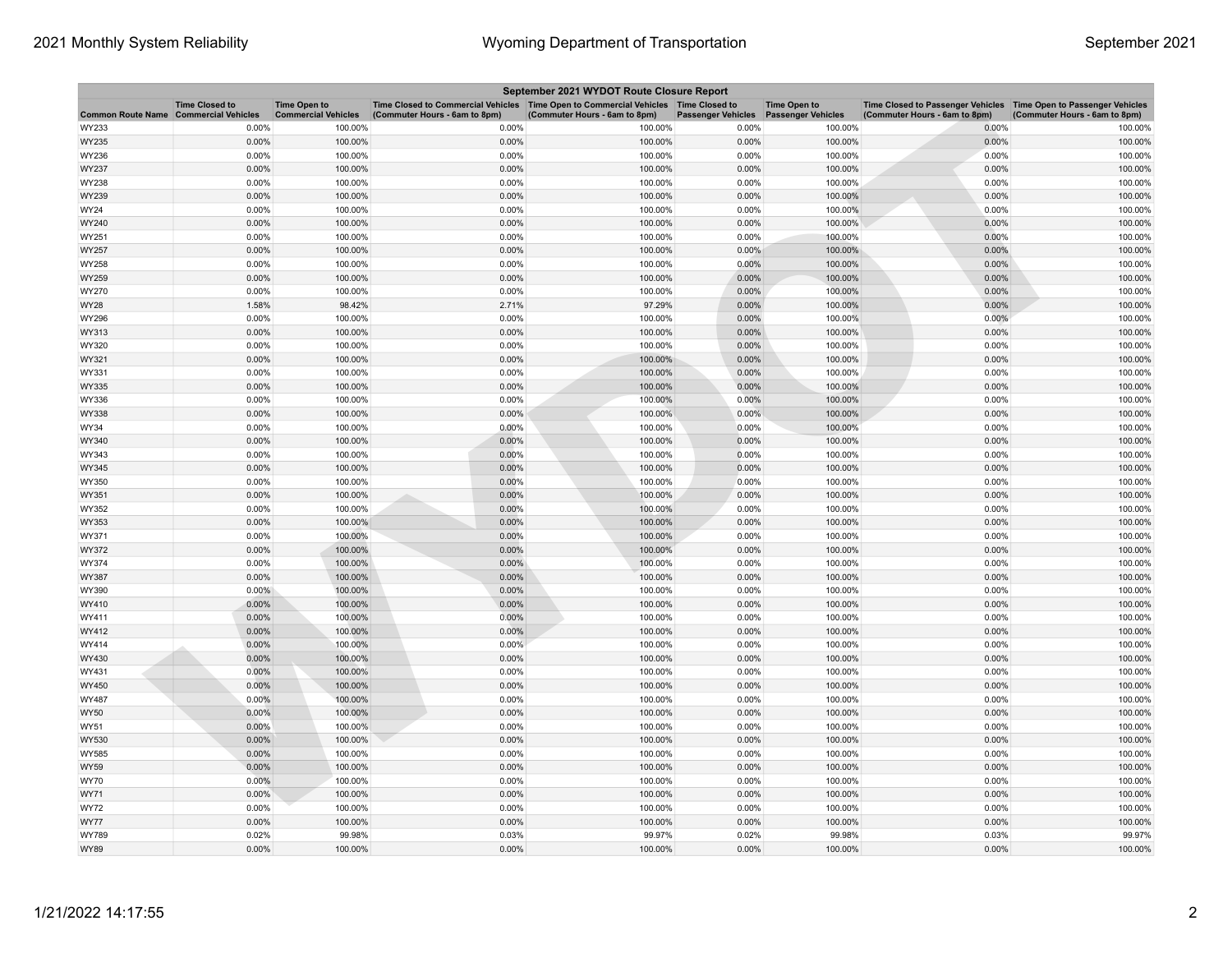| September 2021 WYDOT Route Closure Report |                                                     |                                                   |                                                                                                                         |                               |                           |                                                  |                                                                                                      |                               |  |
|-------------------------------------------|-----------------------------------------------------|---------------------------------------------------|-------------------------------------------------------------------------------------------------------------------------|-------------------------------|---------------------------|--------------------------------------------------|------------------------------------------------------------------------------------------------------|-------------------------------|--|
| <b>Common Route Name</b>                  | <b>Time Closed to</b><br><b>Commercial Vehicles</b> | <b>Time Open to</b><br><b>Commercial Vehicles</b> | Time Closed to Commercial Vehicles   Time Open to Commercial Vehicles   Time Closed to<br>(Commuter Hours - 6am to 8pm) | (Commuter Hours - 6am to 8pm) | <b>Passenger Vehicles</b> | <b>Time Open to</b><br><b>Passenger Vehicles</b> | Time Closed to Passenger Vehicles   Time Open to Passenger Vehicles<br>(Commuter Hours - 6am to 8pm) | (Commuter Hours - 6am to 8pm) |  |
| WY233                                     | 0.00%                                               | 100.00%                                           | 0.00%                                                                                                                   | 100.00%                       | 0.00%                     | 100.00%                                          | 0.00%                                                                                                | 100.00%                       |  |
| WY235                                     | 0.00%                                               | 100.00%                                           | 0.00%                                                                                                                   | 100.00%                       | 0.00%                     | 100.00%                                          | 0.00%                                                                                                | 100.00%                       |  |
| WY236                                     | 0.00%                                               | 100.00%                                           | 0.00%                                                                                                                   | 100.00%                       | 0.00%                     | 100.00%                                          | 0.00%                                                                                                | 100.00%                       |  |
| WY237                                     | 0.00%                                               | 100.00%                                           | 0.00%                                                                                                                   | 100.00%                       | 0.00%                     | 100.00%                                          | 0.00%                                                                                                | 100.00%                       |  |
| WY238                                     | 0.00%                                               | 100.00%                                           | 0.00%                                                                                                                   | 100.00%                       | 0.00%                     | 100.00%                                          | 0.00%                                                                                                | 100.00%                       |  |
| WY239                                     | 0.00%                                               | 100.00%                                           | 0.00%                                                                                                                   | 100.00%                       | 0.00%                     | 100.00%                                          | 0.00%                                                                                                | 100.00%                       |  |
| WY24                                      | 0.00%                                               | 100.00%                                           | 0.00%                                                                                                                   | 100.00%                       | 0.00%                     | 100.00%                                          | 0.00%                                                                                                | 100.00%                       |  |
| WY240                                     | $0.00\%$                                            | 100.00%                                           | 0.00%                                                                                                                   | 100.00%                       | $0.00\%$                  | 100.00%                                          | 0.00%                                                                                                | 100.00%                       |  |
| WY251                                     | 0.00%                                               | 100.00%                                           | 0.00%                                                                                                                   | 100.00%                       | 0.00%                     | 100.00%                                          | 0.00%                                                                                                | 100.00%                       |  |
| WY257                                     | 0.00%                                               | 100.00%                                           | 0.00%                                                                                                                   | 100.00%                       | 0.00%                     | 100.00%                                          | 0.00%                                                                                                | 100.00%                       |  |
| WY258                                     | 0.00%                                               | 100.00%                                           | 0.00%                                                                                                                   | 100.00%                       | 0.00%                     | 100.00%                                          | 0.00%                                                                                                | 100.00%                       |  |
| WY259                                     | 0.00%                                               | 100.00%                                           | 0.00%                                                                                                                   | 100.00%                       | 0.00%                     | 100.00%                                          | 0.00%                                                                                                | 100.00%                       |  |
| WY270                                     | 0.00%                                               | 100.00%                                           | 0.00%                                                                                                                   | 100.00%                       | 0.00%                     | 100.00%                                          | 0.00%                                                                                                | 100.00%                       |  |
| WY28                                      | 1.58%                                               | 98.42%                                            | 2.71%                                                                                                                   | 97.29%                        | 0.00%                     | 100.00%                                          | 0.00%                                                                                                | 100.00%                       |  |
| WY296                                     | 0.00%                                               | 100.00%                                           | 0.00%                                                                                                                   | 100.00%                       | 0.00%                     | 100.00%                                          | 0.00%                                                                                                | 100.00%                       |  |
| WY313                                     | 0.00%                                               | 100.00%                                           | 0.00%                                                                                                                   | 100.00%                       | 0.00%                     | 100.00%                                          | 0.00%                                                                                                | 100.00%                       |  |
| WY320                                     | 0.00%                                               | 100.00%                                           | 0.00%                                                                                                                   | 100.00%                       | 0.00%                     | 100.00%                                          | 0.00%                                                                                                | 100.00%                       |  |
| WY321                                     | 0.00%                                               | 100.00%                                           | 0.00%                                                                                                                   | 100.00%                       | 0.00%                     | 100.00%                                          | 0.00%                                                                                                | 100.00%                       |  |
| WY331                                     | 0.00%                                               | 100.00%                                           | 0.00%                                                                                                                   | 100.00%                       | 0.00%                     | 100.00%                                          | 0.00%                                                                                                | 100.00%                       |  |
| WY335                                     | 0.00%                                               | 100.00%                                           | 0.00%                                                                                                                   | 100.00%                       | 0.00%                     | 100.00%                                          | 0.00%                                                                                                | 100.00%                       |  |
| WY336                                     | 0.00%                                               | 100.00%                                           | 0.00%                                                                                                                   | 100.00%                       | 0.00%                     | 100.00%                                          | 0.00%                                                                                                | 100.00%                       |  |
| WY338                                     | 0.00%                                               | 100.00%                                           | 0.00%                                                                                                                   | 100.00%                       | 0.00%                     | 100.00%                                          | 0.00%                                                                                                | 100.00%                       |  |
| WY34                                      | 0.00%                                               | 100.00%                                           | 0.00%                                                                                                                   | 100.00%                       | 0.00%                     | 100.00%                                          | 0.00%                                                                                                | 100.00%                       |  |
| WY340                                     | 0.00%                                               | 100.00%                                           | 0.00%                                                                                                                   | 100.00%                       | 0.00%                     | 100.00%                                          | 0.00%                                                                                                | 100.00%                       |  |
| WY343                                     | 0.00%                                               | 100.00%                                           | 0.00%                                                                                                                   | 100.00%                       | 0.00%                     | 100.00%                                          | 0.00%                                                                                                | 100.00%                       |  |
| WY345                                     | 0.00%                                               | 100.00%                                           | 0.00%                                                                                                                   | 100.00%                       | 0.00%                     | 100.00%                                          | 0.00%                                                                                                | 100.00%                       |  |
| WY350                                     | 0.00%                                               | 100.00%                                           | 0.00%                                                                                                                   | 100.00%                       | 0.00%                     | 100.00%                                          | 0.00%                                                                                                | 100.00%                       |  |
| WY351                                     | 0.00%                                               | 100.00%                                           | 0.00%                                                                                                                   | 100.00%                       | 0.00%                     | 100.00%                                          | 0.00%                                                                                                | 100.00%                       |  |
| WY352                                     | 0.00%                                               | 100.00%                                           | 0.00%                                                                                                                   | 100.00%                       | 0.00%                     | 100.00%                                          | 0.00%                                                                                                | 100.00%                       |  |
| WY353                                     | 0.00%                                               | 100.00%                                           | 0.00%                                                                                                                   | 100.00%                       | 0.00%                     | 100.00%                                          | 0.00%                                                                                                | 100.00%                       |  |
| WY371                                     | 0.00%                                               | 100.00%                                           | 0.00%                                                                                                                   | 100.00%                       | 0.00%                     | 100.00%                                          | 0.00%                                                                                                | 100.00%                       |  |
| WY372                                     | 0.00%                                               | 100.00%                                           | 0.00%                                                                                                                   | 100.00%                       | 0.00%                     | 100.00%                                          | 0.00%                                                                                                | 100.00%                       |  |
| WY374                                     | 0.00%                                               | 100.00%                                           | 0.00%                                                                                                                   | 100.00%                       | 0.00%                     | 100.00%                                          | 0.00%                                                                                                | 100.00%                       |  |
| WY387                                     | 0.00%                                               | 100.00%                                           | 0.00%                                                                                                                   | 100.00%                       | 0.00%                     | 100.00%                                          | 0.00%                                                                                                | 100.00%                       |  |
| WY390                                     | $0.00\%$                                            | 100.00%                                           | 0.00%                                                                                                                   | 100.00%                       | 0.00%                     | 100.00%                                          | 0.00%                                                                                                | 100.00%                       |  |
| WY410                                     | 0.00%                                               | 100.00%                                           | 0.00%                                                                                                                   | 100.00%                       | 0.00%                     | 100.00%                                          | 0.00%                                                                                                | 100.00%                       |  |
| WY411                                     | 0.00%                                               | 100.00%                                           | 0.00%                                                                                                                   | 100.00%                       | 0.00%                     | 100.00%                                          | 0.00%                                                                                                | 100.00%                       |  |
| WY412                                     | 0.00%                                               | 100.00%                                           | 0.00%                                                                                                                   | 100.00%                       | 0.00%                     | 100.00%                                          | 0.00%                                                                                                | 100.00%                       |  |
| WY414                                     | 0.00%                                               | 100.00%                                           | 0.00%                                                                                                                   | 100.00%                       | 0.00%                     | 100.00%                                          | 0.00%                                                                                                | 100.00%                       |  |
| WY430                                     | 0.00%                                               | 100.00%                                           | 0.00%                                                                                                                   | 100.00%                       | 0.00%                     | 100.00%                                          | 0.00%                                                                                                | 100.00%                       |  |
| WY431                                     | 0.00%                                               | 100.00%                                           | 0.00%                                                                                                                   | 100.00%                       | 0.00%                     | 100.00%                                          | 0.00%                                                                                                | 100.00%                       |  |
| WY450                                     | 0.00%                                               | 100.00%                                           | 0.00%                                                                                                                   | 100.00%                       | 0.00%                     | 100.00%                                          | 0.00%                                                                                                | 100.00%                       |  |
| WY487                                     | 0.00%                                               | 100.00%                                           | 0.00%                                                                                                                   | 100.00%                       | 0.00%                     | 100.00%                                          | 0.00%                                                                                                | 100.00%                       |  |
| WY50                                      | 0.00%                                               | 100.00%                                           | 0.00%                                                                                                                   | 100.00%                       | 0.00%                     | 100.00%                                          | 0.00%                                                                                                | 100.00%                       |  |
| WY51                                      | 0.00%                                               | 100.00%                                           | 0.00%                                                                                                                   | 100.00%                       | 0.00%                     | 100.00%                                          | 0.00%                                                                                                | 100.00%                       |  |
| WY530                                     | 0.00%                                               | 100.00%                                           | 0.00%                                                                                                                   | 100.00%                       | 0.00%                     | 100.00%                                          | 0.00%                                                                                                | 100.00%                       |  |
| WY585                                     | 0.00%                                               | 100.00%                                           | 0.00%                                                                                                                   | 100.00%                       | 0.00%                     | 100.00%                                          | 0.00%                                                                                                | 100.00%                       |  |
| WY59                                      | 0.00%                                               | 100.00%                                           | 0.00%                                                                                                                   | 100.00%                       | 0.00%                     | 100.00%                                          | 0.00%                                                                                                | 100.00%                       |  |
| WY70                                      | 0.00%                                               | 100.00%                                           | 0.00%                                                                                                                   | 100.00%                       | 0.00%                     | 100.00%                                          | 0.00%                                                                                                | 100.00%                       |  |
| WY71                                      | $0.00\%$                                            | 100.00%                                           | 0.00%                                                                                                                   | 100.00%                       | 0.00%                     | 100.00%                                          | 0.00%                                                                                                | 100.00%                       |  |
| <b>WY72</b>                               | 0.00%                                               | 100.00%                                           | 0.00%                                                                                                                   | 100.00%                       | 0.00%                     | 100.00%                                          | 0.00%                                                                                                | 100.00%                       |  |
| WY77                                      | 0.00%                                               | 100.00%                                           | 0.00%                                                                                                                   | 100.00%                       | 0.00%                     | 100.00%                                          | 0.00%                                                                                                | 100.00%                       |  |
| WY789                                     | 0.02%                                               | 99.98%                                            | 0.03%                                                                                                                   | 99.97%                        | 0.02%                     | 99.98%                                           | 0.03%                                                                                                | 99.97%                        |  |
| <b>WY89</b>                               | 0.00%                                               | 100.00%                                           | 0.00%                                                                                                                   | 100.00%                       | 0.00%                     | 100.00%                                          | 0.00%                                                                                                | 100.00%                       |  |